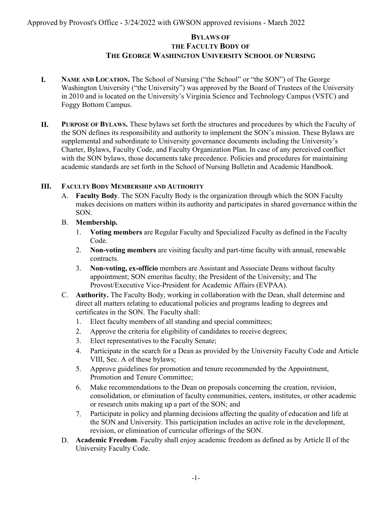# **BYLAWS OF THE FACULTY BODY OF THE GEORGE WASHINGTON UNIVERSITY SCHOOL OF NURSING**

- **I. NAME AND LOCATION.** The School of Nursing ("the School" or "the SON") of The George Washington University ("the University") was approved by the Board of Trustees of the University in 2010 and is located on the University's Virginia Science and Technology Campus (VSTC) and Foggy Bottom Campus.
- **II. PURPOSE OF BYLAWS.** These bylaws set forth the structures and procedures by which the Faculty of the SON defines its responsibility and authority to implement the SON's mission. These Bylaws are supplemental and subordinate to University governance documents including the University's Charter, Bylaws, Faculty Code, and Faculty Organization Plan. In case of any perceived conflict with the SON bylaws, those documents take precedence. Policies and procedures for maintaining academic standards are set forth in the School of Nursing Bulletin and Academic Handbook.

## **III. FACULTY BODY MEMBERSHIP AND AUTHORITY**

- A. **Faculty Body**. The SON Faculty Body is the organization through which the SON Faculty makes decisions on matters within its authority and participates in shared governance within the SON.
- B. **Membership.**
	- 1. **Voting members** are Regular Faculty and Specialized Faculty as defined in the Faculty Code.
	- 2. **Non-voting members** are visiting faculty and part-time faculty with annual, renewable contracts.
	- 3. **Non-voting, ex-officio** members are Assistant and Associate Deans without faculty appointment; SON emeritus faculty; the President of the University; and The Provost/Executive Vice-President for Academic Affairs (EVPAA).
- C. **Authority.** The Faculty Body, working in collaboration with the Dean, shall determine and direct all matters relating to educational policies and programs leading to degrees and certificates in the SON. The Faculty shall:
	- 1. Elect faculty members of all standing and special committees;
	- 2. Approve the criteria for eligibility of candidates to receive degrees;
	- 3. Elect representatives to the Faculty Senate;
	- 4. Participate in the search for a Dean as provided by the University Faculty Code and Article VIII, Sec. A of these bylaws;
	- 5. Approve guidelines for promotion and tenure recommended by the Appointment, Promotion and Tenure Committee;
	- 6. Make recommendations to the Dean on proposals concerning the creation, revision, consolidation, or elimination of faculty communities, centers, institutes, or other academic or research units making up a part of the SON; and
	- 7. Participate in policy and planning decisions affecting the quality of education and life at the SON and University. This participation includes an active role in the development, revision, or elimination of curricular offerings of the SON.
- D. **Academic Freedom**. Faculty shall enjoy academic freedom as defined as by Article II of the University Faculty Code.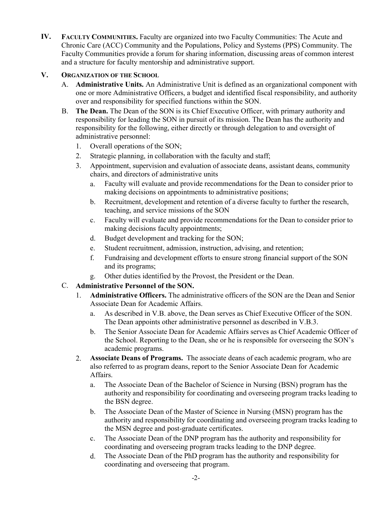**IV. FACULTY COMMUNITIES.** Faculty are organized into two Faculty Communities: The Acute and Chronic Care (ACC) Community and the Populations, Policy and Systems (PPS) Community. The Faculty Communities provide a forum for sharing information, discussing areas of common interest and a structure for faculty mentorship and administrative support.

#### **V. ORGANIZATION OF THE SCHOOL**

- A. **Administrative Units.** An Administrative Unit is defined as an organizational component with one or more Administrative Officers, a budget and identified fiscal responsibility, and authority over and responsibility for specified functions within the SON.
- B. **The Dean.** The Dean of the SON is its Chief Executive Officer, with primary authority and responsibility for leading the SON in pursuit of its mission. The Dean has the authority and responsibility for the following, either directly or through delegation to and oversight of administrative personnel:
	- 1. Overall operations of the SON;
	- 2. Strategic planning, in collaboration with the faculty and staff;
	- 3. Appointment, supervision and evaluation of associate deans, assistant deans, community chairs, and directors of administrative units
		- a. Faculty will evaluate and provide recommendations for the Dean to consider prior to making decisions on appointments to administrative positions;
		- b. Recruitment, development and retention of a diverse faculty to further the research, teaching, and service missions of the SON
		- c. Faculty will evaluate and provide recommendations for the Dean to consider prior to making decisions faculty appointments;
		- d. Budget development and tracking for the SON;
		- e. Student recruitment, admission, instruction, advising, and retention;
		- f. Fundraising and development efforts to ensure strong financial support of the SON and its programs;
		- g. Other duties identified by the Provost, the President or the Dean.

## C. **Administrative Personnel of the SON.**

- 1. **Administrative Officers.** The administrative officers of the SON are the Dean and Senior Associate Dean for Academic Affairs.
	- a. As described in V.B. above, the Dean serves as Chief Executive Officer of the SON. The Dean appoints other administrative personnel as described in V.B.3.
	- b. The Senior Associate Dean for Academic Affairs serves as Chief Academic Officer of the School. Reporting to the Dean, she or he is responsible for overseeing the SON's academic programs.
- 2. **Associate Deans of Programs.** The associate deans of each academic program, who are also referred to as program deans, report to the Senior Associate Dean for Academic Affairs.
	- a. The Associate Dean of the Bachelor of Science in Nursing (BSN) program has the authority and responsibility for coordinating and overseeing program tracks leading to the BSN degree.
	- b. The Associate Dean of the Master of Science in Nursing (MSN) program has the authority and responsibility for coordinating and overseeing program tracks leading to the MSN degree and post-graduate certificates.
	- c. The Associate Dean of the DNP program has the authority and responsibility for coordinating and overseeing program tracks leading to the DNP degree.
	- d. The Associate Dean of the PhD program has the authority and responsibility for coordinating and overseeing that program.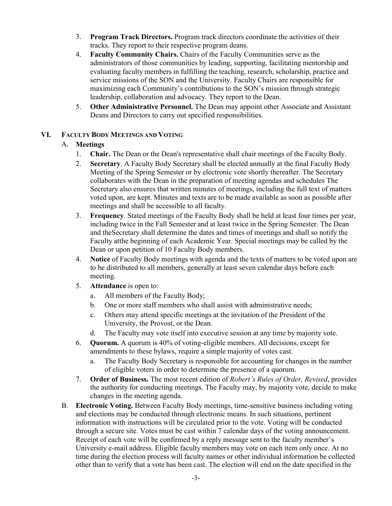- 3. **Program Track Directors.** Program track directors coordinate the activities of their tracks. They report to their respective program deans.
- 4. **Faculty Community Chairs.** Chairs of the Faculty Communities serve as the administrators of those communities by leading, supporting, facilitating mentorship and evaluating faculty members in fulfilling the teaching, research, scholarship, practice and service missions of the SON and the University. Faculty Chairs are responsible for maximizing each Community's contributions to the SON's mission through strategic leadership, collaboration and advocacy. They report to the Dean.
- 5. **Other Administrative Personnel.** The Dean may appoint other Associate and Assistant Deans and Directors to carry out specified responsibilities.

#### **VI. FACULTY BODY MEETINGS AND VOTING**

#### A. **Meetings**

- 1. **Chair.** The Dean or the Dean's representative shall chair meetings of the Faculty Body.
- 2. **Secretary**. A Faculty Body Secretary shall be elected annually at the final Faculty Body Meeting of the Spring Semester or by electronic vote shortly thereafter. The Secretary collaborates with the Dean in the preparation of meeting agendas and schedules The Secretary also ensures that written minutes of meetings, including the full text of matters voted upon, are kept. Minutes and texts are to be made available as soon as possible after meetings and shall be accessible to all faculty.
- 3. **Frequency**. Stated meetings of the Faculty Body shall be held at least four times per year, including twice in the Fall Semester and at least twice in the Spring Semester. The Dean and theSecretary shall determine the dates and times of meetings and shall so notify the Faculty atthe beginning of each Academic Year. Special meetings may be called by the Dean or upon petition of 10 Faculty Body members.
- 4. **Notice** of Faculty Body meetings with agenda and the texts of matters to be voted upon are to be distributed to all members, generally at least seven calendar days before each meeting.
- 5. **Attendance** is open to:
	- a. All members of the Faculty Body;
	- b. One or more staff members who shall assist with administrative needs;
	- c. Others may attend specific meetings at the invitation of the President of the University, the Provost, or the Dean.
	- d. The Faculty may vote itself into executive session at any time by majority vote.
- 6. **Quorum.** A quorum is 40% of voting-eligible members. All decisions, except for amendments to these bylaws, require a simple majority of votes cast.
	- a. The Faculty Body Secretary is responsible for accounting for changes in the number of eligible voters in order to determine the presence of a quorum.
- 7. **Order of Business.** The most recent edition of *Robert's Rules of Order, Revised*, provides the authority for conducting meetings. The Faculty may, by majority vote, decide to make changes in the meeting agenda.
- B. **Electronic Voting.** Between Faculty Body meetings, time-sensitive business including voting and elections may be conducted through electronic means. In such situations, pertinent information with instructions will be circulated prior to the vote. Voting will be conducted through a secure site. Votes must be cast within 7 calendar days of the voting announcement. Receipt of each vote will be confirmed by a reply message sent to the faculty member's University e-mail address. Eligible faculty members may vote on each item only once. At no time during the election process will faculty names or other individual information be collected other than to verify that a vote has been cast. The election will end on the date specified in the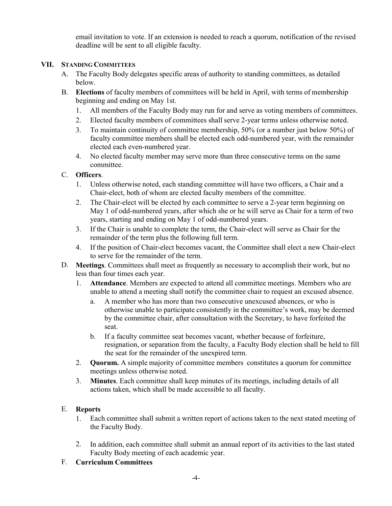email invitation to vote. If an extension is needed to reach a quorum, notification of the revised deadline will be sent to all eligible faculty.

## **VII. STANDING COMMITTEES**

- A. The Faculty Body delegates specific areas of authority to standing committees, as detailed below.
- B. **Elections** of faculty members of committees will be held in April, with terms of membership beginning and ending on May 1st.
	- 1. All members of the Faculty Body may run for and serve as voting members of committees.
	- 2. Elected faculty members of committees shall serve 2-year terms unless otherwise noted.
	- 3. To maintain continuity of committee membership, 50% (or a number just below 50%) of faculty committee members shall be elected each odd-numbered year, with the remainder elected each even-numbered year.
	- 4. No elected faculty member may serve more than three consecutive terms on the same committee.

# C. **Officers**.

- 1. Unless otherwise noted, each standing committee will have two officers, a Chair and a Chair-elect, both of whom are elected faculty members of the committee.
- 2. The Chair-elect will be elected by each committee to serve a 2-year term beginning on May 1 of odd-numbered years, after which she or he will serve as Chair for a term of two years, starting and ending on May 1 of odd-numbered years.
- 3. If the Chair is unable to complete the term, the Chair-elect will serve as Chair for the remainder of the term plus the following full term.
- 4. If the position of Chair-elect becomes vacant, the Committee shall elect a new Chair-elect to serve for the remainder of the term.
- D. **Meetings**. Committees shall meet as frequently as necessary to accomplish their work, but no less than four times each year.
	- 1. **Attendance**. Members are expected to attend all committee meetings. Members who are unable to attend a meeting shall notify the committee chair to request an excused absence.
		- a. A member who has more than two consecutive unexcused absences, or who is otherwise unable to participate consistently in the committee's work, may be deemed by the committee chair, after consultation with the Secretary, to have forfeited the seat.
		- b. If a faculty committee seat becomes vacant, whether because of forfeiture, resignation, or separation from the faculty, a Faculty Body election shall be held to fill the seat for the remainder of the unexpired term.
	- 2. **Quorum.** A simple majority of committee members constitutes a quorum for committee meetings unless otherwise noted.
	- 3. **Minutes**. Each committee shall keep minutes of its meetings, including details of all actions taken, which shall be made accessible to all faculty.

## E. **Reports**

- 1. Each committee shall submit a written report of actions taken to the next stated meeting of the Faculty Body.
- 2. In addition, each committee shall submit an annual report of its activities to the last stated Faculty Body meeting of each academic year.

## F. **Curriculum Committees**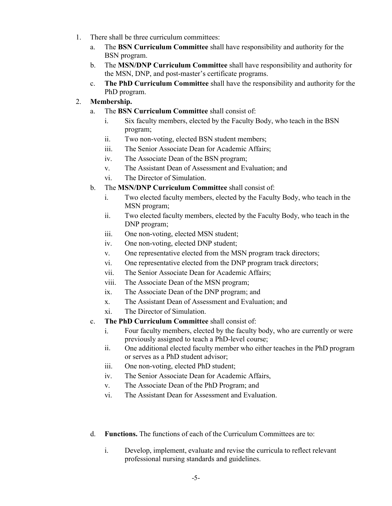- 1. There shall be three curriculum committees:
	- a. The **BSN Curriculum Committee** shall have responsibility and authority for the BSN program.
	- b. The **MSN/DNP Curriculum Committee** shall have responsibility and authority for the MSN, DNP, and post-master's certificate programs.
	- c. **The PhD Curriculum Committee** shall have the responsibility and authority for the PhD program.

## 2. **Membership.**

- a. The **BSN Curriculum Committee** shall consist of:
	- i. Six faculty members, elected by the Faculty Body, who teach in the BSN program;
	- ii. Two non-voting, elected BSN student members;
	- iii. The Senior Associate Dean for Academic Affairs;
	- iv. The Associate Dean of the BSN program;
	- v. The Assistant Dean of Assessment and Evaluation; and
	- vi. The Director of Simulation.
- b. The **MSN/DNP Curriculum Committee** shall consist of:
	- i. Two elected faculty members, elected by the Faculty Body, who teach in the MSN program;
	- ii. Two elected faculty members, elected by the Faculty Body, who teach in the DNP program;
	- iii. One non-voting, elected MSN student;
	- iv. One non-voting, elected DNP student;
	- v. One representative elected from the MSN program track directors;
	- vi. One representative elected from the DNP program track directors;
	- vii. The Senior Associate Dean for Academic Affairs;
	- viii. The Associate Dean of the MSN program;
	- ix. The Associate Dean of the DNP program; and
	- x. The Assistant Dean of Assessment and Evaluation; and
	- xi. The Director of Simulation.
- c. **The PhD Curriculum Committee** shall consist of:
	- i. Four faculty members, elected by the faculty body, who are currently or were previously assigned to teach a PhD-level course;
	- ii. One additional elected faculty member who either teaches in the PhD program or serves as a PhD student advisor;
	- iii. One non-voting, elected PhD student;
	- iv. The Senior Associate Dean for Academic Affairs,
	- v. The Associate Dean of the PhD Program; and
	- vi. The Assistant Dean for Assessment and Evaluation.
- d. **Functions.** The functions of each of the Curriculum Committees are to:
	- i. Develop, implement, evaluate and revise the curricula to reflect relevant professional nursing standards and guidelines.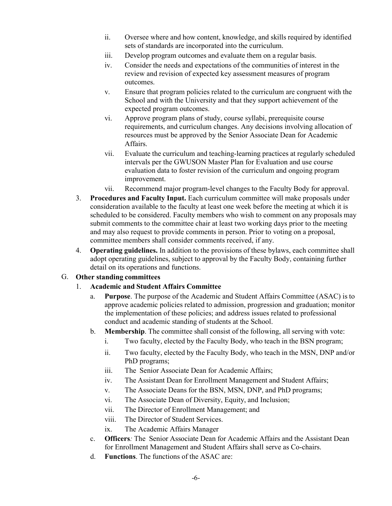- ii. Oversee where and how content, knowledge, and skills required by identified sets of standards are incorporated into the curriculum.
- iii. Develop program outcomes and evaluate them on a regular basis.
- iv. Consider the needs and expectations of the communities of interest in the review and revision of expected key assessment measures of program outcomes.
- v. Ensure that program policies related to the curriculum are congruent with the School and with the University and that they support achievement of the expected program outcomes.
- vi. Approve program plans of study, course syllabi, prerequisite course requirements, and curriculum changes. Any decisions involving allocation of resources must be approved by the Senior Associate Dean for Academic Affairs.
- vii. Evaluate the curriculum and teaching-learning practices at regularly scheduled intervals per the GWUSON Master Plan for Evaluation and use course evaluation data to foster revision of the curriculum and ongoing program improvement.
- vii. Recommend major program-level changes to the Faculty Body for approval.
- 3. **Procedures and Faculty Input.** Each curriculum committee will make proposals under consideration available to the faculty at least one week before the meeting at which it is scheduled to be considered. Faculty members who wish to comment on any proposals may submit comments to the committee chair at least two working days prior to the meeting and may also request to provide comments in person. Prior to voting on a proposal, committee members shall consider comments received, if any.
- 4. **Operating guidelines.** In addition to the provisions of these bylaws, each committee shall adopt operating guidelines, subject to approval by the Faculty Body, containing further detail on its operations and functions.

#### G. **Other standing committees**

#### 1. **Academic and Student Affairs Committee**

- a. **Purpose**. The purpose of the Academic and Student Affairs Committee (ASAC) is to approve academic policies related to admission, progression and graduation; monitor the implementation of these policies; and address issues related to professional conduct and academic standing of students at the School.
- b. **Membership**. The committee shall consist of the following, all serving with vote:
	- i. Two faculty, elected by the Faculty Body, who teach in the BSN program;
	- ii. Two faculty, elected by the Faculty Body, who teach in the MSN, DNP and/or PhD programs;
	- iii. The Senior Associate Dean for Academic Affairs;
	- iv. The Assistant Dean for Enrollment Management and Student Affairs;
	- v. The Associate Deans for the BSN, MSN, DNP, and PhD programs;
	- vi. The Associate Dean of Diversity, Equity, and Inclusion;
	- vii. The Director of Enrollment Management; and
	- viii. The Director of Student Services.
	- ix. The Academic Affairs Manager
- c. **Officers***:* The Senior Associate Dean for Academic Affairs and the Assistant Dean for Enrollment Management and Student Affairs shall serve as Co-chairs.
- d. **Functions**. The functions of the ASAC are: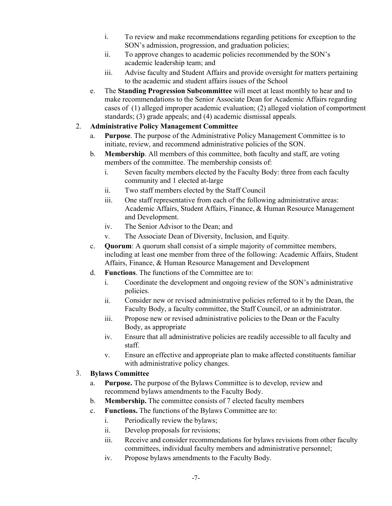- i. To review and make recommendations regarding petitions for exception to the SON's admission, progression, and graduation policies;
- ii. To approve changes to academic policies recommended by the SON's academic leadership team; and
- iii. Advise faculty and Student Affairs and provide oversight for matters pertaining to the academic and student affairs issues of the School
- e. The **Standing Progression Subcommittee** will meet at least monthly to hear and to make recommendations to the Senior Associate Dean for Academic Affairs regarding cases of (1) alleged improper academic evaluation; (2) alleged violation of comportment standards; (3) grade appeals; and (4) academic dismissal appeals.

## 2. **Administrative Policy Management Committee**

- a. **Purpose**. The purpose of the Administrative Policy Management Committee is to initiate, review, and recommend administrative policies of the SON.
- b. **Membership**. All members of this committee, both faculty and staff, are voting members of the committee. The membership consists of:
	- i. Seven faculty members elected by the Faculty Body: three from each faculty community and 1 elected at-large
	- ii. Two staff members elected by the Staff Council
	- iii. One staff representative from each of the following administrative areas: Academic Affairs, Student Affairs, Finance, & Human Resource Management and Development.
	- iv. The Senior Advisor to the Dean; and
	- v. The Associate Dean of Diversity, Inclusion, and Equity*.*
- c. **Quorum**: A quorum shall consist of a simple majority of committee members, including at least one member from three of the following: Academic Affairs, Student Affairs, Finance, & Human Resource Management and Development
- d. **Functions**. The functions of the Committee are to:
	- i. Coordinate the development and ongoing review of the SON's administrative policies.
	- ii. Consider new or revised administrative policies referred to it by the Dean, the Faculty Body, a faculty committee, the Staff Council, or an administrator.
	- iii. Propose new or revised administrative policies to the Dean or the Faculty Body, as appropriate
	- iv. Ensure that all administrative policies are readily accessible to all faculty and staff.
	- v. Ensure an effective and appropriate plan to make affected constituents familiar with administrative policy changes.

## 3. **Bylaws Committee**

- a. **Purpose.** The purpose of the Bylaws Committee is to develop, review and recommend bylaws amendments to the Faculty Body.
- b. **Membership.** The committee consists of 7 elected faculty members
- c. **Functions.** The functions of the Bylaws Committee are to:
	- i. Periodically review the bylaws;
	- ii. Develop proposals for revisions;
	- iii. Receive and consider recommendations for bylaws revisions from other faculty committees, individual faculty members and administrative personnel;
	- iv. Propose bylaws amendments to the Faculty Body.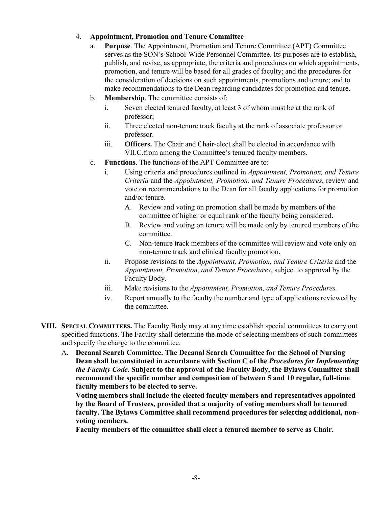## 4. **Appointment, Promotion and Tenure Committee**

- a. **Purpose**. The Appointment, Promotion and Tenure Committee (APT) Committee serves as the SON's School-Wide Personnel Committee. Its purposes are to establish, publish, and revise, as appropriate, the criteria and procedures on which appointments, promotion, and tenure will be based for all grades of faculty; and the procedures for the consideration of decisions on such appointments, promotions and tenure; and to make recommendations to the Dean regarding candidates for promotion and tenure.
- b. **Membership**. The committee consists of:
	- i. Seven elected tenured faculty, at least 3 of whom must be at the rank of professor;
	- ii. Three elected non-tenure track faculty at the rank of associate professor or professor.
	- iii. **Officers.** The Chair and Chair-elect shall be elected in accordance with VII.C.from among the Committee's tenured faculty members.
- c. **Functions**. The functions of the APT Committee are to:
	- i. Using criteria and procedures outlined in *Appointment, Promotion, and Tenure Criteria* and the *Appointment, Promotion, and Tenure Procedures*, review and vote on recommendations to the Dean for all faculty applications for promotion and/or tenure.
		- A. Review and voting on promotion shall be made by members of the committee of higher or equal rank of the faculty being considered.
		- B. Review and voting on tenure will be made only by tenured members of the committee.
		- C. Non-tenure track members of the committee will review and vote only on non-tenure track and clinical faculty promotion.
	- ii. Propose revisions to the *Appointment, Promotion, and Tenure Criteria* and the *Appointment, Promotion, and Tenure Procedures*, subject to approval by the Faculty Body.
	- iii. Make revisions to the *Appointment, Promotion, and Tenure Procedures.*
	- iv. Report annually to the faculty the number and type of applications reviewed by the committee.
- **VIII. SPECIAL COMMITTEES.** The Faculty Body may at any time establish special committees to carry out specified functions. The Faculty shall determine the mode of selecting members of such committees and specify the charge to the committee.
	- A. **Decanal Search Committee. The Decanal Search Committee for the School of Nursing Dean shall be constituted in accordance with Section C of the** *Procedures for Implementing the Faculty Code***. Subject to the approval of the Faculty Body, the Bylaws Committee shall recommend the specific number and composition of between 5 and 10 regular, full-time faculty members to be elected to serve.**

**Voting members shall include the elected faculty members and representatives appointed by the Board of Trustees, provided that a majority of voting members shall be tenured faculty. The Bylaws Committee shall recommend procedures for selecting additional, nonvoting members.** 

**Faculty members of the committee shall elect a tenured member to serve as Chair.**